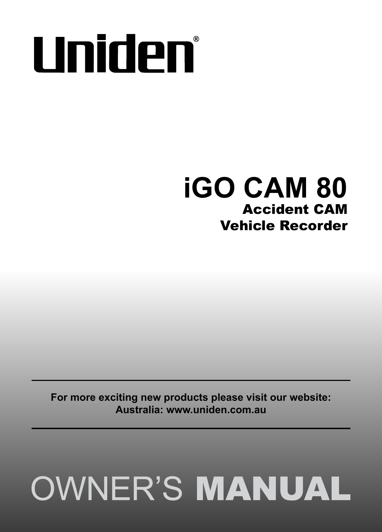# **Uniden**\*

## **iGO CAM 80** Accident CAM Vehicle Recorder

**For more exciting new products please visit our website: Australia: www.uniden.com.au**

## **OWNER'S MANUAL**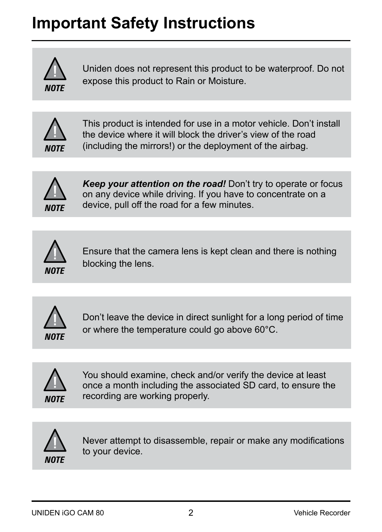## **Important Safety Instructions**



Uniden does not represent this product to be waterproof. Do not expose this product to Rain or Moisture.



This product is intended for use in a motor vehicle. Don't install the device where it will block the driver's view of the road (including the mirrors!) or the deployment of the airbag.



*Keep your attention on the road!* Don't try to operate or focus on any device while driving. If you have to concentrate on a device, pull off the road for a few minutes.



Ensure that the camera lens is kept clean and there is nothing blocking the lens.



Don't leave the device in direct sunlight for a long period of time or where the temperature could go above 60°C.



You should examine, check and/or verify the device at least once a month including the associated SD card, to ensure the recording are working properly.



Never attempt to disassemble, repair or make any modifications to your device.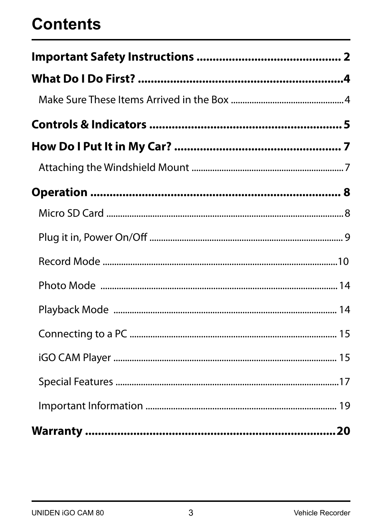## **Contents**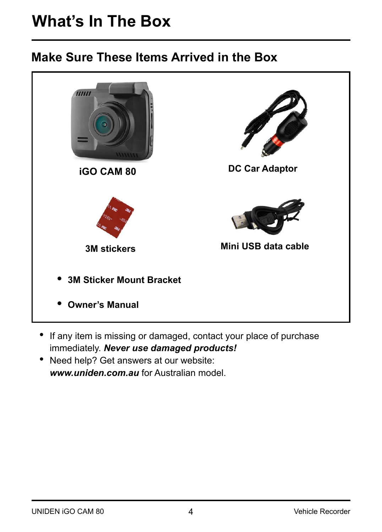## **What's In The Box**

#### **Make Sure These Items Arrived in the Box**



- If any item is missing or damaged, contact your place of purchase immediately. *Never use damaged products!*
- Need help? Get answers at our website: *www.uniden.com.au* for Australian model.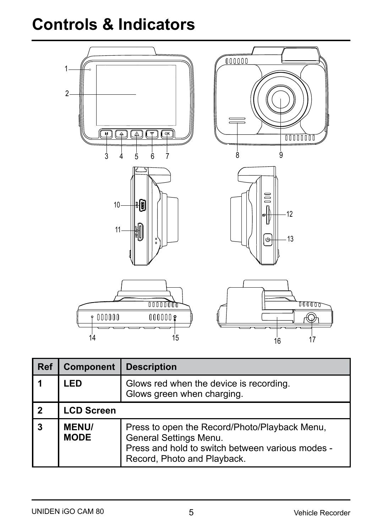## **Controls & Indicators**



| Ref            | <b>Component</b>            | <b>Description</b>                                                                                                                                         |  |
|----------------|-----------------------------|------------------------------------------------------------------------------------------------------------------------------------------------------------|--|
|                | LED                         | Glows red when the device is recording.<br>Glows green when charging.                                                                                      |  |
| $\overline{2}$ | <b>LCD Screen</b>           |                                                                                                                                                            |  |
| 3              | <b>MENU/</b><br><b>MODE</b> | Press to open the Record/Photo/Playback Menu,<br>General Settings Menu.<br>Press and hold to switch between various modes -<br>Record, Photo and Playback. |  |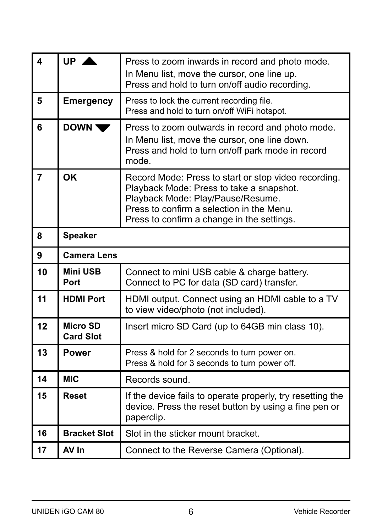| $\overline{\mathbf{A}}$ | $UP$ $\triangle$             | Press to zoom inwards in record and photo mode.<br>In Menu list, move the cursor, one line up.<br>Press and hold to turn on/off audio recording.                                                                                 |  |
|-------------------------|------------------------------|----------------------------------------------------------------------------------------------------------------------------------------------------------------------------------------------------------------------------------|--|
| 5                       | <b>Emergency</b>             | Press to lock the current recording file.<br>Press and hold to turn on/off WiFi hotspot.                                                                                                                                         |  |
| 6                       | DOWN <sup>1</sup>            | Press to zoom outwards in record and photo mode.<br>In Menu list, move the cursor, one line down.<br>Press and hold to turn on/off park mode in record<br>mode.                                                                  |  |
| $\overline{7}$          | OK                           | Record Mode: Press to start or stop video recording.<br>Playback Mode: Press to take a snapshot.<br>Playback Mode: Play/Pause/Resume.<br>Press to confirm a selection in the Menu.<br>Press to confirm a change in the settings. |  |
| 8                       | Speaker                      |                                                                                                                                                                                                                                  |  |
| 9                       | <b>Camera Lens</b>           |                                                                                                                                                                                                                                  |  |
| 10                      | Mini USB<br>Port             | Connect to mini USB cable & charge battery.<br>Connect to PC for data (SD card) transfer.                                                                                                                                        |  |
| 11                      | <b>HDMI Port</b>             | HDMI output. Connect using an HDMI cable to a TV<br>to view video/photo (not included).                                                                                                                                          |  |
| 12                      | Micro SD<br><b>Card Slot</b> | Insert micro SD Card (up to 64GB min class 10).                                                                                                                                                                                  |  |
| 13                      | Power                        | Press & hold for 2 seconds to turn power on.<br>Press & hold for 3 seconds to turn power off.                                                                                                                                    |  |
| 14                      | <b>MIC</b>                   | Records sound.                                                                                                                                                                                                                   |  |
| 15                      | Reset                        | If the device fails to operate properly, try resetting the<br>device. Press the reset button by using a fine pen or<br>paperclip.                                                                                                |  |
| 16                      | <b>Bracket Slot</b>          | Slot in the sticker mount bracket.                                                                                                                                                                                               |  |
| 17                      | AV In                        | Connect to the Reverse Camera (Optional).                                                                                                                                                                                        |  |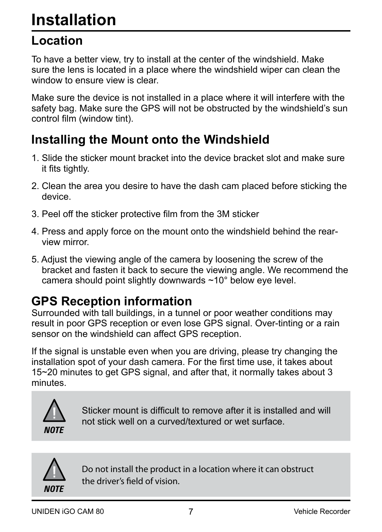## **Installation**

#### **Location**

To have a better view, try to install at the center of the windshield. Make sure the lens is located in a place where the windshield wiper can clean the window to ensure view is clear.

Make sure the device is not installed in a place where it will interfere with the safety bag. Make sure the GPS will not be obstructed by the windshield's sun control film (window tint).

## **Installing the Mount onto the Windshield**

- 1. Slide the sticker mount bracket into the device bracket slot and make sure it fits tightly.
- 2. Clean the area you desire to have the dash cam placed before sticking the device.
- 3. Peel off the sticker protective film from the 3M sticker
- 4. Press and apply force on the mount onto the windshield behind the rear view mirror.
- 5. Adjust the viewing angle of the camera by loosening the screw of the bracket and fasten it back to secure the viewing angle. We recommend the camera should point slightly downwards ~10° below eye level.

#### **GPS Reception information**

Surrounded with tall buildings, in a tunnel or poor weather conditions may result in poor GPS reception or even lose GPS signal. Over-tinting or a rain sensor on the windshield can affect GPS reception.

If the signal is unstable even when you are driving, please try changing the installation spot of your dash camera. For the first time use, it takes about 15~20 minutes to get GPS signal, and after that, it normally takes about 3 minutes.



Sticker mount is difficult to remove after it is installed and will not stick well on a curved/textured or wet surface.



Do not install the product in a location where it can obstruct the driver's field of vision.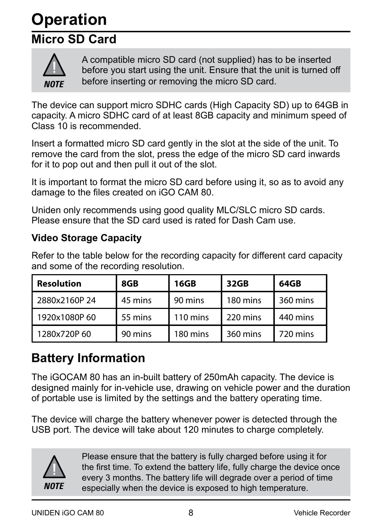## **Operation**

## **Micro SD Card**



A compatible micro SD card (not supplied) has to be inserted before you start using the unit. Ensure that the unit is turned off before inserting or removing the micro SD card.

The device can support micro SDHC cards (High Capacity SD) up to 64GB in capacity. A micro SDHC card of at least 8GB capacity and minimum speed of Class 10 is recommended.

Insert a formatted micro SD card gently in the slot at the side of the unit. To remove the card from the slot, press the edge of the micro SD card inwards for it to pop out and then pull it out of the slot.

It is important to format the micro SD card before using it, so as to avoid any damage to the files created on iGO CAM 80.

Uniden only recommends using good quality MLC/SLC micro SD cards. Please ensure that the SD card used is rated for Dash Cam use.

#### **Video Storage Capacity**

Refer to the table below for the recording capacity for different card capacity and some of the recording resolution.

| Resolution   | 8GB     | 16GB               | 32GB     | 64GB     |
|--------------|---------|--------------------|----------|----------|
| 2880x2160P24 | 45 mins | 90 mins            | 180 mins | 360 mins |
| 1920x1080P60 | 55 mins | $110 \text{ mins}$ | 220 mins | 440 mins |
| 1280x720P60  | 90 mins | 180 mins           | 360 mins | 720 mins |

## **Battery Information**

The iGOCAM 80 has an in-built battery of 250mAh capacity. The device is designed mainly for in-vehicle use, drawing on vehicle power and the duration of portable use is limited by the settings and the battery operating time.

The device will charge the battery whenever power is detected through the USB port. The device will take about 120 minutes to charge completely.



Please ensure that the battery is fully charged before using it for the first time. To extend the battery life, fully charge the device once every 3 months. The battery life will degrade over a period of time especially when the device is exposed to high temperature.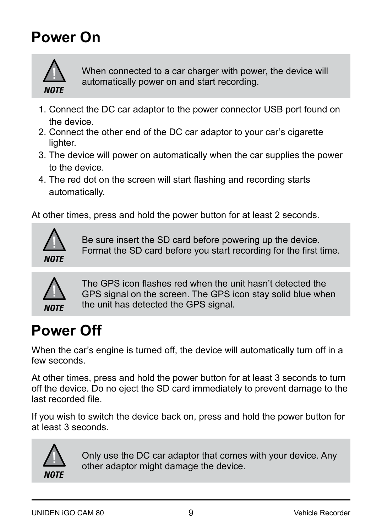## **Power On**



When connected to a car charger with power, the device will automatically power on and start recording.

- 1. Connect the DC car adaptor to the power connector USB port found on the device.
- 2. Connect the other end of the DC car adaptor to your car's cigarette lighter.
- 3. The device will power on automatically when the car supplies the power to the device.
- 4. The red dot on the screen will start flashing and recording starts automatically.

At other times, press and hold the power button for at least 2 seconds.



Be sure insert the SD card before powering up the device. Format the SD card before you start recording for the first time.



The GPS icon flashes red when the unit hasn't detected the GPS signal on the screen. The GPS icon stay solid blue when the unit has detected the GPS signal.

## **Power Off**

When the car's engine is turned off, the device will automatically turn off in a few seconds.

At other times, press and hold the power button for at least 3 seconds to turn off the device. Do no eject the SD card immediately to prevent damage to the last recorded file.

If you wish to switch the device back on, press and hold the power button for at least 3 seconds.



Only use the DC car adaptor that comes with your device. Any other adaptor might damage the device.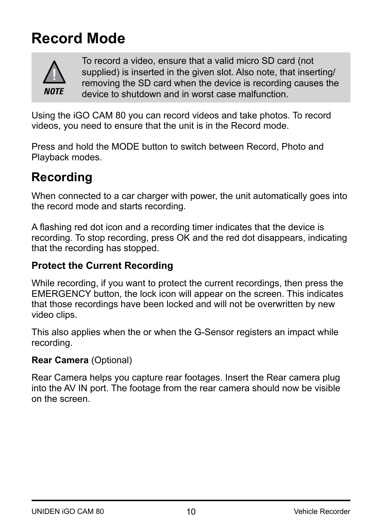## **Record Mode**



To record a video, ensure that a valid micro SD card (not supplied) is inserted in the given slot. Also note, that inserting/ removing the SD card when the device is recording causes the device to shutdown and in worst case malfunction.

Using the iGO CAM 80 you can record videos and take photos. To record videos, you need to ensure that the unit is in the Record mode.

Press and hold the MODE button to switch between Record, Photo and Playback modes.

#### **Recording**

When connected to a car charger with power, the unit automatically goes into the record mode and starts recording.

A flashing red dot icon and a recording timer indicates that the device is recording. To stop recording, press OK and the red dot disappears, indicating that the recording has stopped.

#### **Protect the Current Recording**

While recording, if you want to protect the current recordings, then press the EMERGENCY button, the lock icon will appear on the screen. This indicates that those recordings have been locked and will not be overwritten by new video clips.

This also applies when the or when the G-Sensor registers an impact while recording.

#### **Rear Camera** (Optional)

Rear Camera helps you capture rear footages. Insert the Rear camera plug into the AV IN port. The footage from the rear camera should now be visible on the screen.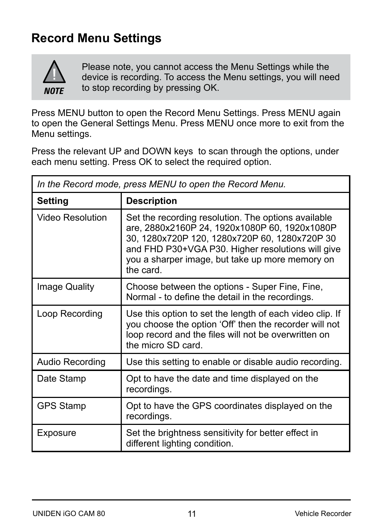## **Record Menu Settings**



Please note, you cannot access the Menu Settings while the device is recording. To access the Menu settings, you will need to stop recording by pressing OK.

Press MENU button to open the Record Menu Settings. Press MENU again to open the General Settings Menu. Press MENU once more to exit from the Menu settings.

Press the relevant UP and DOWN keys to scan through the options, under each menu setting. Press OK to select the required option.

| In the Record mode, press MENU to open the Record Menu. |                                                                                                                                                                                                                                                                            |  |
|---------------------------------------------------------|----------------------------------------------------------------------------------------------------------------------------------------------------------------------------------------------------------------------------------------------------------------------------|--|
| Setting                                                 | <b>Description</b>                                                                                                                                                                                                                                                         |  |
| <b>Video Resolution</b>                                 | Set the recording resolution. The options available<br>are, 2880x2160P 24, 1920x1080P 60, 1920x1080P<br>30, 1280x720P 120, 1280x720P 60, 1280x720P 30<br>and FHD P30+VGA P30. Higher resolutions will give<br>you a sharper image, but take up more memory on<br>the card. |  |
| Image Quality                                           | Choose between the options - Super Fine, Fine,<br>Normal - to define the detail in the recordings.                                                                                                                                                                         |  |
| Loop Recording                                          | Use this option to set the length of each video clip. If<br>you choose the option 'Off' then the recorder will not<br>loop record and the files will not be overwritten on<br>the micro SD card.                                                                           |  |
| Audio Recording                                         | Use this setting to enable or disable audio recording.                                                                                                                                                                                                                     |  |
| Date Stamp                                              | Opt to have the date and time displayed on the<br>recordings.                                                                                                                                                                                                              |  |
| <b>GPS Stamp</b>                                        | Opt to have the GPS coordinates displayed on the<br>recordings.                                                                                                                                                                                                            |  |
| Exposure                                                | Set the brightness sensitivity for better effect in<br>different lighting condition.                                                                                                                                                                                       |  |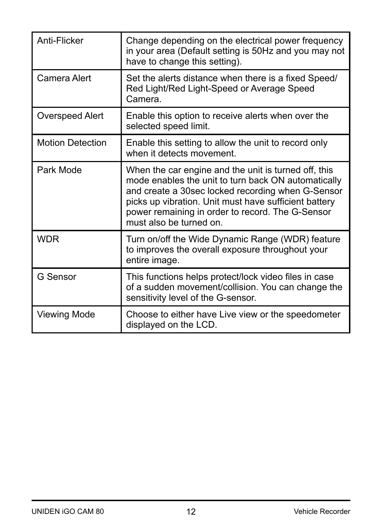| Anti-Flicker            | Change depending on the electrical power frequency<br>in your area (Default setting is 50Hz and you may not<br>have to change this setting).                                                                                                                                                             |
|-------------------------|----------------------------------------------------------------------------------------------------------------------------------------------------------------------------------------------------------------------------------------------------------------------------------------------------------|
| Camera Alert            | Set the alerts distance when there is a fixed Speed/<br>Red Light/Red Light-Speed or Average Speed<br>Camera.                                                                                                                                                                                            |
| Overspeed Alert         | Enable this option to receive alerts when over the<br>selected speed limit.                                                                                                                                                                                                                              |
| <b>Motion Detection</b> | Enable this setting to allow the unit to record only<br>when it detects movement.                                                                                                                                                                                                                        |
| Park Mode               | When the car engine and the unit is turned off, this<br>mode enables the unit to turn back ON automatically<br>and create a 30sec locked recording when G-Sensor<br>picks up vibration. Unit must have sufficient battery<br>power remaining in order to record. The G-Sensor<br>must also be turned on. |
| <b>WDR</b>              | Turn on/off the Wide Dynamic Range (WDR) feature<br>to improves the overall exposure throughout your<br>entire image.                                                                                                                                                                                    |
| G Sensor                | This functions helps protect/lock video files in case<br>of a sudden movement/collision. You can change the<br>sensitivity level of the G-sensor.                                                                                                                                                        |
| Viewing Mode            | Choose to either have Live view or the speedometer<br>displayed on the LCD.                                                                                                                                                                                                                              |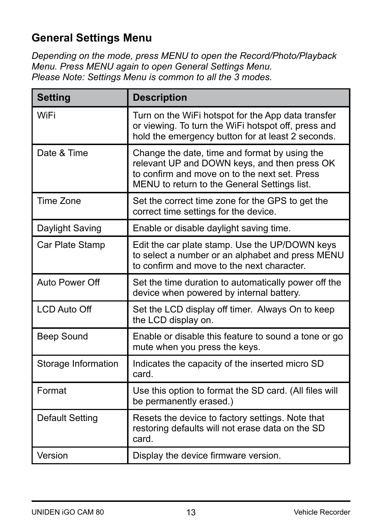#### **General Settings Menu**

*Depending on the mode, press MENU to open the Record/Photo/Playback Menu. Press MENU again to open General Settings Menu. Please Note: Settings Menu is common to all the 3 modes.*

| <b>Setting</b>      | <b>Description</b>                                                                                                                                                                             |
|---------------------|------------------------------------------------------------------------------------------------------------------------------------------------------------------------------------------------|
| WiFi                | Turn on the WiFi hotspot for the App data transfer<br>or viewing. To turn the WiFi hotspot off, press and<br>hold the emergency button for at least 2 seconds.                                 |
| Date & Time         | Change the date, time and format by using the<br>relevant UP and DOWN keys, and then press OK<br>to confirm and move on to the next set. Press<br>MENU to return to the General Settings list. |
| Time Zone           | Set the correct time zone for the GPS to get the<br>correct time settings for the device.                                                                                                      |
| Daylight Saving     | Enable or disable daylight saving time.                                                                                                                                                        |
| Car Plate Stamp     | Edit the car plate stamp. Use the UP/DOWN keys<br>to select a number or an alphabet and press MENU<br>to confirm and move to the next character.                                               |
| Auto Power Off      | Set the time duration to automatically power off the<br>device when powered by internal battery.                                                                                               |
| <b>LCD Auto Off</b> | Set the LCD display off timer. Always On to keep<br>the LCD display on.                                                                                                                        |
| Beep Sound          | Enable or disable this feature to sound a tone or go<br>mute when you press the keys.                                                                                                          |
| Storage Information | Indicates the capacity of the inserted micro SD<br>card.                                                                                                                                       |
| Format              | Use this option to format the SD card. (All files will<br>be permanently erased.)                                                                                                              |
| Default Setting     | Resets the device to factory settings. Note that<br>restoring defaults will not erase data on the SD<br>card.                                                                                  |
| Version             | Display the device firmware version.                                                                                                                                                           |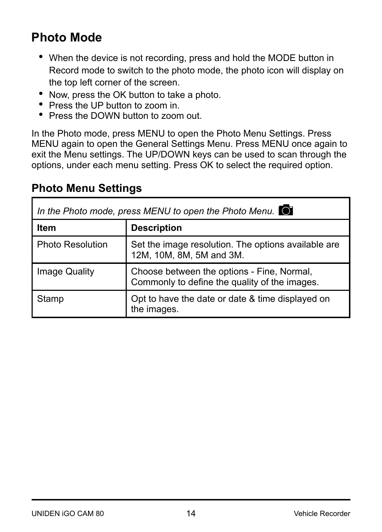## **Photo Mode**

- When the device is not recording, press and hold the MODE button in Record mode to switch to the photo mode, the photo icon will display on the top left corner of the screen.
- Now, press the OK button to take a photo.
- Press the UP button to zoom in.
- Press the DOWN button to zoom out.

In the Photo mode, press MENU to open the Photo Menu Settings. Press MENU again to open the General Settings Menu. Press MENU once again to exit the Menu settings. The UP/DOWN keys can be used to scan through the options, under each menu setting. Press OK to select the required option.

#### **Photo Menu Settings**

| In the Photo mode, press MENU to open the Photo Menu. $\bullet$ |                                                                                             |  |
|-----------------------------------------------------------------|---------------------------------------------------------------------------------------------|--|
| Item                                                            | <b>Description</b>                                                                          |  |
| <b>Photo Resolution</b>                                         | Set the image resolution. The options available are<br>12M, 10M, 8M, 5M and 3M.             |  |
| Image Quality                                                   | Choose between the options - Fine, Normal,<br>Commonly to define the quality of the images. |  |
| Stamp                                                           | Opt to have the date or date & time displayed on<br>the images.                             |  |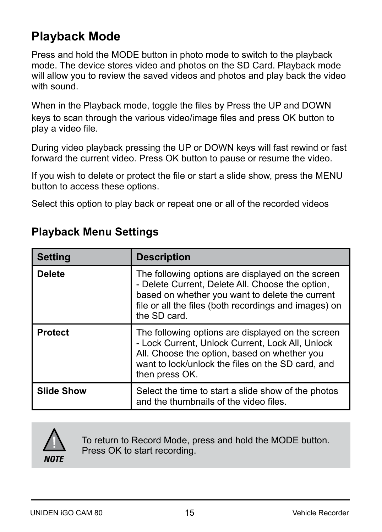#### **Playback Mode**

Press and hold the MODE button in photo mode to switch to the playback mode. The device stores video and photos on the SD Card. Playback mode will allow you to review the saved videos and photos and play back the video with sound.

When in the Playback mode, toggle the files by Press the UP and DOWN keys to scan through the various video/image files and press OK button to play a video file.

During video playback pressing the UP or DOWN keys will fast rewind or fast forward the current video. Press OK button to pause or resume the video.

If you wish to delete or protect the file or start a slide show, press the MENU button to access these options.

Select this option to play back or repeat one or all of the recorded videos

| <b>Setting</b>    | <b>Description</b>                                                                                                                                                                                                                |
|-------------------|-----------------------------------------------------------------------------------------------------------------------------------------------------------------------------------------------------------------------------------|
| <b>Delete</b>     | The following options are displayed on the screen<br>- Delete Current, Delete All. Choose the option,<br>based on whether you want to delete the current<br>file or all the files (both recordings and images) on<br>the SD card. |
| <b>Protect</b>    | The following options are displayed on the screen<br>- Lock Current, Unlock Current, Lock All, Unlock<br>All. Choose the option, based on whether you<br>want to lock/unlock the files on the SD card, and<br>then press OK.      |
| <b>Slide Show</b> | Select the time to start a slide show of the photos<br>and the thumbnails of the video files.                                                                                                                                     |

#### **Playback Menu Settings**



To return to Record Mode, press and hold the MODE button. Press OK to start recording.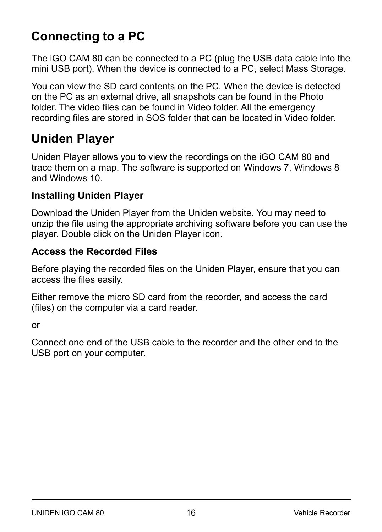## **Connecting to a PC**

The iGO CAM 80 can be connected to a PC (plug the USB data cable into the mini USB port). When the device is connected to a PC, select Mass Storage.

You can view the SD card contents on the PC. When the device is detected on the PC as an external drive, all snapshots can be found in the Photo folder. The video files can be found in Video folder. All the emergency recording files are stored in SOS folder that can be located in Video folder.

#### **Uniden Player**

Uniden Player allows you to view the recordings on the iGO CAM 80 and trace them on a map. The software is supported on Windows 7, Windows 8 and Windows 10.

#### **Installing Uniden Player**

Download the Uniden Player from the Uniden website. You may need to unzip the file using the appropriate archiving software before you can use the player. Double click on the Uniden Player icon.

#### **Access the Recorded Files**

Before playing the recorded files on the Uniden Player, ensure that you can access the files easily.

Either remove the micro SD card from the recorder, and access the card (files) on the computer via a card reader.

or

Connect one end of the USB cable to the recorder and the other end to the USB port on your computer.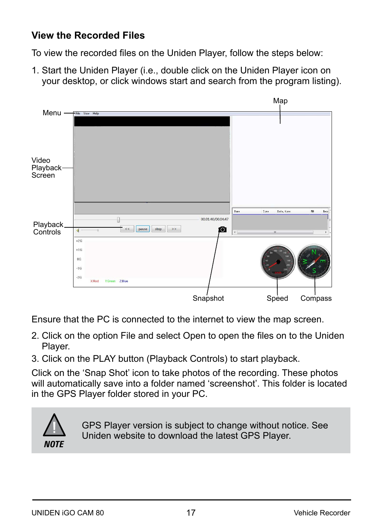#### **View the Recorded Files**

To view the recorded files on the Uniden Player, follow the steps below:

1. Start the Uniden Player (i.e., double click on the Uniden Player icon on your desktop, or click windows start and search from the program listing).



Ensure that the PC is connected to the internet to view the map screen.

- 2. Click on the option File and select Open to open the files on to the Uniden Player.
- 3. Click on the PLAY button (Playback Controls) to start playback.

Click on the 'Snap Shot' icon to take photos of the recording. These photos will automatically save into a folder named 'screenshot'. This folder is located in the GPS Player folder stored in your PC.



GPS Player version is subject to change without notice. See Uniden website to download the latest GPS Player.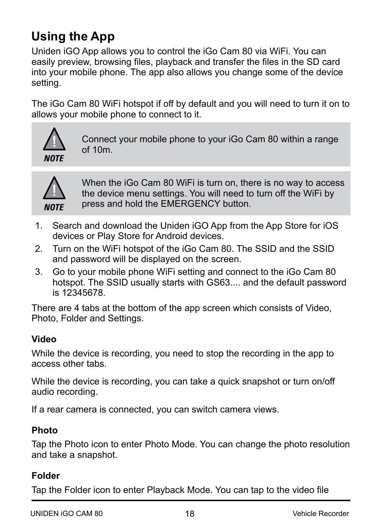## **Using the App**

Uniden iGO App allows you to control the iGo Cam 80 via WiFi. You can easily preview, browsing files, playback and transfer the files in the SD card into your mobile phone. The app also allows you change some of the device setting.

The iGo Cam 80 WiFi hotspot if off by default and you will need to turn it on to allows your mobile phone to connect to it.



Connect your mobile phone to your iGo Cam 80 within a range  $of 10m$ 



When the iGo Cam 80 WiFi is turn on, there is no way to access the device menu settings. You will need to turn off the WiFi by press and hold the EMERGENCY button.

- 1. Search and download the Uniden iGO App from the App Store for iOS devices or Play Store for Android devices.
- 2. Turn on the WiFi hotspot of the iGo Cam 80. The SSID and the SSID and password will be displayed on the screen.
- 3. Go to your mobile phone WiFi setting and connect to the iGo Cam 80 hotspot. The SSID usually starts with GS63.... and the default password is 12345678.

There are 4 tabs at the bottom of the app screen which consists of Video, Photo, Folder and Settings.

#### **Video**

While the device is recording, you need to stop the recording in the app to access other tabs.

While the device is recording, you can take a quick snapshot or turn on/off audio recording.

If a rear camera is connected, you can switch camera views.

#### **Photo**

Tap the Photo icon to enter Photo Mode. You can change the photo resolution and take a snapshot.

#### **Folder**

Tap the Folder icon to enter Playback Mode. You can tap to the video file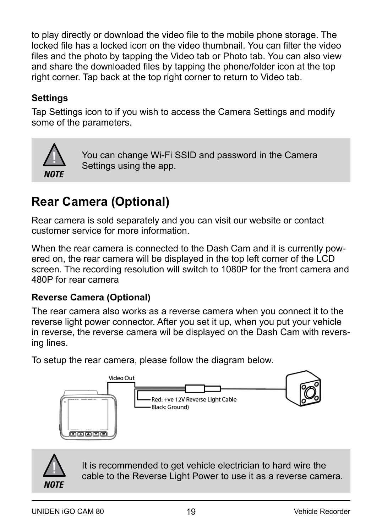to play directly or download the video file to the mobile phone storage. The locked file has a locked icon on the video thumbnail. You can filter the video files and the photo by tapping the Video tab or Photo tab. You can also view and share the downloaded files by tapping the phone/folder icon at the top right corner. Tap back at the top right corner to return to Video tab.

#### **Settings**

Tap Settings icon to if you wish to access the Camera Settings and modify some of the parameters.



You can change Wi-Fi SSID and password in the Camera Settings using the app.

## **Rear Camera (Optional)**

Rear camera is sold separately and you can visit our website or contact customer service for more information.

When the rear camera is connected to the Dash Cam and it is currently powered on, the rear camera will be displayed in the top left corner of the LCD screen. The recording resolution will switch to 1080P for the front camera and 480P for rear camera

#### **Reverse Camera (Optional)**

The rear camera also works as a reverse camera when you connect it to the reverse light power connector. After you set it up, when you put your vehicle in reverse, the reverse camera wil be displayed on the Dash Cam with reversing lines.

To setup the rear camera, please follow the diagram below.





It is recommended to get vehicle electrician to hard wire the cable to the Reverse Light Power to use it as a reverse camera.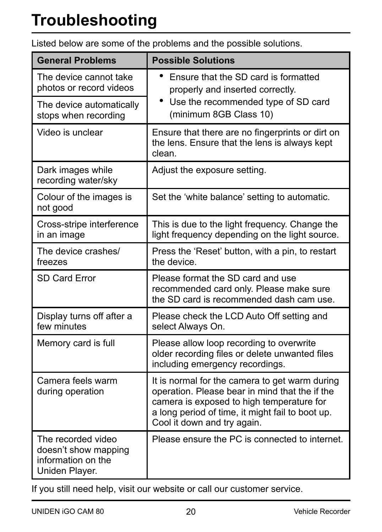| <b>General Problems</b>                                                            | <b>Possible Solutions</b>                                                                                                                                                                                                        |
|------------------------------------------------------------------------------------|----------------------------------------------------------------------------------------------------------------------------------------------------------------------------------------------------------------------------------|
| The device cannot take<br>photos or record videos                                  | Ensure that the SD card is formatted<br>٠<br>properly and inserted correctly.                                                                                                                                                    |
| The device automatically<br>stops when recording                                   | • Use the recommended type of SD card<br>(minimum 8GB Class 10)                                                                                                                                                                  |
| Video is unclear                                                                   | Ensure that there are no fingerprints or dirt on<br>the lens. Ensure that the lens is always kept<br>clean.                                                                                                                      |
| Dark images while<br>recording water/sky                                           | Adjust the exposure setting.                                                                                                                                                                                                     |
| Colour of the images is<br>not good                                                | Set the 'white balance' setting to automatic.                                                                                                                                                                                    |
| Cross-stripe interference<br>in an image                                           | This is due to the light frequency. Change the<br>light frequency depending on the light source.                                                                                                                                 |
| The device crashes/<br>freezes                                                     | Press the 'Reset' button, with a pin, to restart<br>the device.                                                                                                                                                                  |
| SD Card Error                                                                      | Please format the SD card and use<br>recommended card only. Please make sure<br>the SD card is recommended dash cam use.                                                                                                         |
| Display turns off after a<br>few minutes                                           | Please check the LCD Auto Off setting and<br>select Always On.                                                                                                                                                                   |
| Memory card is full                                                                | Please allow loop recording to overwrite<br>older recording files or delete unwanted files<br>including emergency recordings.                                                                                                    |
| Camera feels warm<br>during operation                                              | It is normal for the camera to get warm during<br>operation. Please bear in mind that the if the<br>camera is exposed to high temperature for<br>a long period of time, it might fail to boot up.<br>Cool it down and try again. |
| The recorded video<br>doesn't show mapping<br>information on the<br>Uniden Player. | Please ensure the PC is connected to internet.                                                                                                                                                                                   |

Listed below are some of the problems and the possible solutions.

If you still need help, visit our website or call our customer service.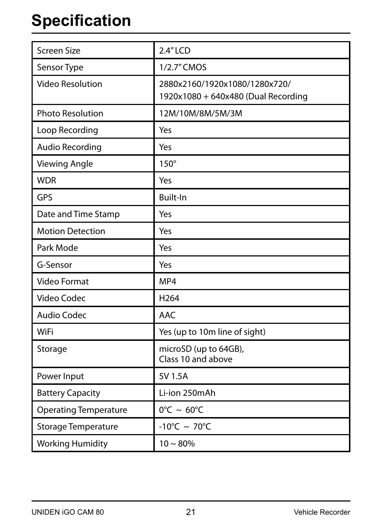## **Specification**

| Screen Size                  | $2.4''$ LCD                                                          |
|------------------------------|----------------------------------------------------------------------|
| Sensor Type                  | 1/2.7" CMOS                                                          |
| <b>Video Resolution</b>      | 2880x2160/1920x1080/1280x720/<br>1920x1080 + 640x480 (Dual Recording |
| <b>Photo Resolution</b>      | 12M/10M/8M/5M/3M                                                     |
| Loop Recording               | Yes                                                                  |
| Audio Recording              | Yes                                                                  |
| <b>Viewing Angle</b>         | $150^\circ$                                                          |
| <b>WDR</b>                   | Yes                                                                  |
| GPS                          | Built-In                                                             |
| Date and Time Stamp          | Yes                                                                  |
| <b>Motion Detection</b>      | Yes                                                                  |
| Park Mode                    | Yes                                                                  |
| G-Sensor                     | Yes                                                                  |
| Video Format                 | MP4                                                                  |
| Video Codec                  | H <sub>264</sub>                                                     |
| <b>Audio Codec</b>           | <b>AAC</b>                                                           |
| WiFi                         | Yes (up to 10m line of sight)                                        |
| Storage                      | microSD (up to 64GB),<br>Class 10 and above                          |
| Power Input                  | 5V 1.5A                                                              |
| <b>Battery Capacity</b>      | Li-ion 250mAh                                                        |
| <b>Operating Temperature</b> | $0^{\circ}$ C ~ 60 $^{\circ}$ C                                      |
| <b>Storage Temperature</b>   | $-10^{\circ}$ C ~ 70 $^{\circ}$ C                                    |
| <b>Working Humidity</b>      | $10 \sim 80\%$                                                       |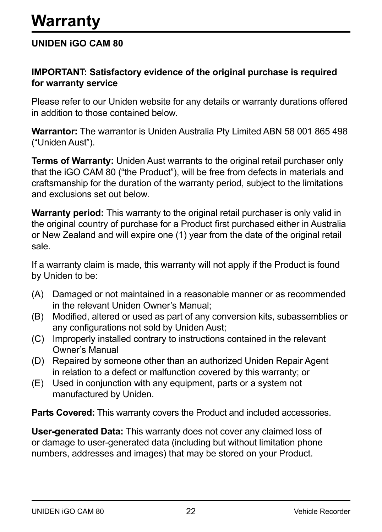#### **UNIDEN iGO CAM 80**

#### **IMPORTANT: Satisfactory evidence of the original purchase is required for warranty service**

Please refer to our Uniden website for any details or warranty durations offered in addition to those contained below.

**Warrantor:** The warrantor is Uniden Australia Pty Limited ABN 58 001 865 498 ("Uniden Aust").

**Terms of Warranty:** Uniden Aust warrants to the original retail purchaser only that the iGO CAM 80 ("the Product"), will be free from defects in materials and craftsmanship for the duration of the warranty period, subject to the limitations and exclusions set out below.

**Warranty period:** This warranty to the original retail purchaser is only valid in the original country of purchase for a Product first purchased either in Australia or New Zealand and will expire one (1) year from the date of the original retail sale.

If a warranty claim is made, this warranty will not apply if the Product is found by Uniden to be:

- (A) Damaged or not maintained in a reasonable manner or as recommended in the relevant Uniden Owner's Manual;
- (B) Modified, altered or used as part of any conversion kits, subassemblies or any configurations not sold by Uniden Aust;
- (C) Improperly installed contrary to instructions contained in the relevant Owner's Manual
- (D) Repaired by someone other than an authorized Uniden Repair Agent in relation to a defect or malfunction covered by this warranty; or
- (E) Used in conjunction with any equipment, parts or a system not manufactured by Uniden.

**Parts Covered:** This warranty covers the Product and included accessories.

**User-generated Data:** This warranty does not cover any claimed loss of or damage to user-generated data (including but without limitation phone numbers, addresses and images) that may be stored on your Product.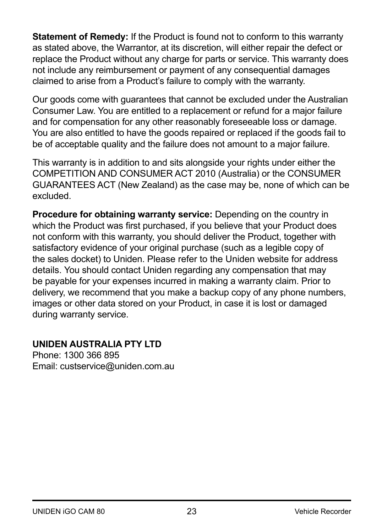**Statement of Remedy:** If the Product is found not to conform to this warranty as stated above, the Warrantor, at its discretion, will either repair the defect or replace the Product without any charge for parts or service. This warranty does not include any reimbursement or payment of any consequential damages claimed to arise from a Product's failure to comply with the warranty.

Our goods come with guarantees that cannot be excluded under the Australian Consumer Law. You are entitled to a replacement or refund for a major failure and for compensation for any other reasonably foreseeable loss or damage. You are also entitled to have the goods repaired or replaced if the goods fail to be of acceptable quality and the failure does not amount to a major failure.

This warranty is in addition to and sits alongside your rights under either the COMPETITION AND CONSUMER ACT 2010 (Australia) or the CONSUMER GUARANTEES ACT (New Zealand) as the case may be, none of which can be excluded.

**Procedure for obtaining warranty service:** Depending on the country in which the Product was first purchased, if you believe that your Product does not conform with this warranty, you should deliver the Product, together with satisfactory evidence of your original purchase (such as a legible copy of the sales docket) to Uniden. Please refer to the Uniden website for address details. You should contact Uniden regarding any compensation that may be payable for your expenses incurred in making a warranty claim. Prior to delivery, we recommend that you make a backup copy of any phone numbers, images or other data stored on your Product, in case it is lost or damaged during warranty service.

#### **UNIDEN AUSTRALIA PTY LTD**

Phone: 1300 366 895 Email: custservice@uniden.com.au